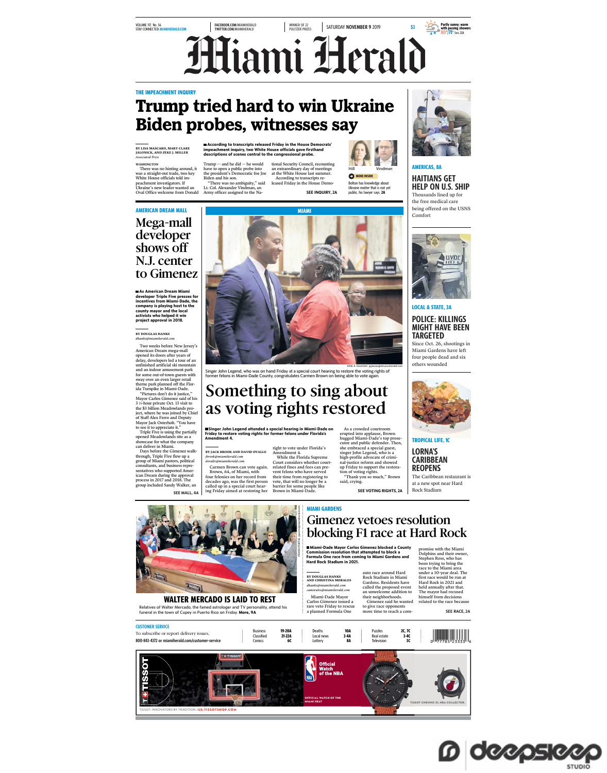### VOLUME 117, No. 56<br>STAY CONNECTED <mark>MIAMIHERALD.COM</mark>

FACEBOOK.COM/MIAMIHERALD TWITTER.COM/MIAMIHERALD WINNER OF 22<br>PULITZER PRIZES SATURDAY **NOVEMBER 9** 2019 \$3 **Miami Herald** 

### **THE IMPEACHMENT INC**

# **Trump tried hard to win Ukraine Biden probes, witnesses say**

**BY LISA MASCARO, MARY CLARE JALONICK, AND ZEKE J. MILLER** *Associated Press*

WASHINGTON There was no hinting around, it was a straight-out trade, two key White House officials told impeachment investigators. If Ukraine's new leader wanted an Oval Office welcome from Donald

Trump — and he did — he would<br>have to open a public probe into<br>the president's Democratic foe Joe<br>Biden and his son.<br>"There was no ambiguity," said<br>Lt. Col. Alexander Vindman, an<br>Army officer assigned to the Na-

tional Security Council, recounting an extraordinary day of meetings at the White House last summer. According to transcripts re-leased Friday in the House Demo-**According to transcripts released Friday in the House Democrats' impeachment inquiry, two White House officials gave firsthand descriptions of scenes central to the congressional probe.** 

SEE INQUIRY, 2A



**MORE INSIDE** Bolton has knowledge about Ukraine matter that is not yet public, his lawyer says, **2A**

**Amount varies by area AMERICAS, 8A** HAITIANS GET HELP ON U.S. SHIP

**\$160**

**IN COUPONS INSIDE**

**SAVE UP TO**

**Partly sunny; warm with passing showers 80**°/**71**° See 23A

the free medical care being offered on the USNS Comfort



**As American Dream Miami developer Triple Five presses for incentives from Miami-Dade, the company is playing host to the county mayor and the local activists who helped it win project approval in 2018.** 

**BY DOUGLAS HANKS** *dhanks@miamiherald.com*

Two weeks before New Jersey's American Dream mega-mall opened its doors after years of delay, developers led a tour of an unfinished artificial ski mountain and an indoor amusement park for some out-of-town guests with

sway over an even larger retail<br>different control of the Floridan Turpule in Miami-Dade.<br>"Fictures don't do it justice,"<br>"Fictures don't do it justice,"<br>"Fictures don't do it justice,"<br> $3/3$ -hour private Oct. 13 visit to

Days before the Gimenez walk-<br>through, Triple Five flew up a<br>group of Miami pastors, political<br>consultants, and business repre-<br>sentatives who supported Amer-<br>ican Dream during the approval<br>increprocess in 2017 and 2018. T group included Sandy Walker, an

SEE MALL, 4A



ose A Katesus jignesiagin/mentral.com<br>Singer John Legend, who was on hand Friday at a special court hearing to restore the voting rights of<br>former felons in Miami-Dade County, congratulates Carmen Brown on being able to v

## Something to sing about as voting rights restored

**Singer John Legend attended a special hearing in Miami-Dade on Friday to restore voting rights for former felons under Florida's Amendment 4.**

right to vote under Florida's Amendment 4. **BY JACK BROOK AND DAVID OVALLE** *jbrook@miamiherald.com dovalle@miamiherald.com*

Carmen Brown can vote again.<br>Brown, 64, of Miami, with<br>four felonies on her record from<br>decades ago, was the first person<br>called up in a special court hear-<br>ing Friday aimed at restoring her Court considers whether court-related fines and fees can prevent felons who have served their time from registering to vote, that will no longer be a barrier for some people like Brown in Miami-Dade.

While the Florida Supreme

As a crowded courtroom erupted into applause, Brown hugged Miami-Dade's top prose-cutor and public defender. Then, she embraced a special guest, singer John Legend, who is a high-profile advocate of crimistice reform and showed up Friday to support the restora-tion of voting rights. "Thank you so much," Brown said, crying.

SEE VOTING RIGHTS, 2A



Relatives of Walter Mercado, the famed astrologer and TV personality, attend his funeral in the town of Cupey in Puerto Rico on Friday. **More, 9A WALTER MERCADO IS LAID TO REST**  **Miami-Dade Mayor Carlos Gimenez blocked a County Commission resolution that attempted to block a Formula One race from coming to Miami Gardens and Hard Rock Stadium in 2021.**  Gimenez vetoes resolution blocking F1 race at Hard Rock

Miami-Dade Mayor auto race around Hard Rock Stadium in Miami **BY DOUGLAS HANKS AND CHRISTINA MORALES** *dhanks@miamiherald.com camorales@miamiherald.com*

Carlos Gimenez issued a rare veto Friday to rescue a planned Formula One

**MIAMI GARDENS**

Gardens. Residents have called the proposed event an unwelcome addition to their neighborhoods. Gimenez said he wanted to give race opponents more time to reach a com-

under a 10-year deal. The first race would be run at Hard Rock in 2021 and held annually after that. The mayor had recused himself from decisions related to the race because







**LOCAL & STATE, 3A**

POLICE: KILLINGS MIGHT HAVE BEEN TARGETED Since Oct. 26, shootings in Miami Gardens have left

four people dead and six others wounded



**TROPICAL LIFE, 1C** LORNA'S CARIBBEAN REOPENS

The Caribbean resta at a new spot near Hard Rock Stadium



SEE RACE, 2A

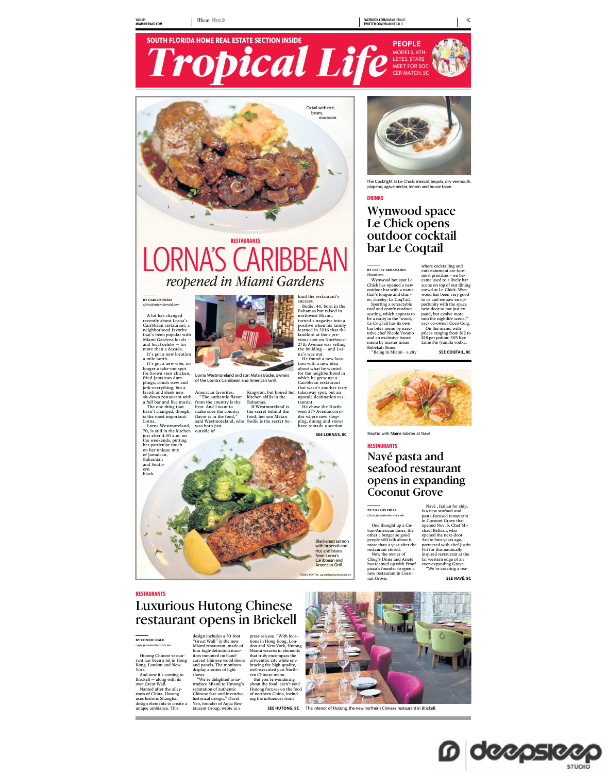





## **RESTAURANTS** LORNA'S CARIBBEAN *reopened in Miami Gardens*

#### **BY CARLOS FRÍAS** *cfrias@miamiherald.com*

A lot has changed recently about Lorna's Caribbean restaurant, a neighborhood favorite that's been popular with Miami Gardens locals — and local celebs — for more than a decade.<br>It's got a new location

It's got a new location<br>in the space and the main ender the space and the space of the space<br>in the space and space of space of space and the space of the space of<br>space and space of the space of space and space of the sp



Lorna Westmoreland and son Matari Bodie, owners of the Lorna's Caribbean and American Grill.

American favorites. "The authentic flavor from the country is the best. And I want to make sure the country flavor is in the food," said Westmoreland, who was born just outside of Kingston, but honed her<br>kitchen skills in the<br>Bahamas.<br>If Westmoreland is<br>the secret behind the<br>food, her son Matari<br>Bodie is the secret be-

hind the restaurant's success. Bodie, 44, born in the Bahamas but raised in northwest Miami, turned a negative into a positive when his family learned in 2016 that the landlord at their pre-vious spot on Northwest 27th Avenue was selling the building — and Lor-na's was out. He found a new loca-

tion with a new idea about what he wanted for the neighborhood in which he grew up: a Caribbean restaurant

that wasn't another tasty<br>takeaway spot, but an<br>upscale destination res-<br>taurant.<br>He chose the North-<br>west 27<sup>th</sup> Avenue corri-<br>dor where new shop-<br>dor where new shop-<br>ping, dining and stores

have remade a section





The Cockfight at Le Chick: mezcal, tequila, dry vermouth, jalapeno, agave nectar, lemon and house foam.

### **DRINKS**

### Wynwood space Le Chick opens outdoor cocktail bar Le Coqtail

#### **BY LESLEY ABRAVANEL**

Wynwood hot spot Le<br>Chick has opened a new outdoor bar with a name that's tongue and chic-<br>er, cheeky: Le CoqTail.<br>Spotring a retractable<br>of and comfy outdoor<br>and the poster and comfy outdoor be a rarity in the 'wood,<br>be a *Miami.com*

menu by master mixer Rebekah Stone. "Being in Miami – a city where cocktailing and<br>mentation are foremost priorities – we be-<br>cacame used to a lively bar<br>cacame used to a lively bar<br>scene on top of our dining<br>crowd at Le Chick. Wy<br>nowood has been very good<br>not to say and we saw an prices ranging from \$12 to \$18 per potion: 305 Key Lime Pie (vanilla vodka,

SEE COOTAIL, 8C



### SEE LORNA'S, 8C Risotto with Maine lobster at Navé

### **RESTAURANTS**

## Navé pasta and seafood restaurant opens in expanding Coconut Grove

**BY CARLOS FRÍAS** *cfrias@miamiherald.com*

One thought up a Gu-<br>carrelation and Carrier and propels still take bother a burger so good<br>more than a year after the<br>more than a year after the<br>restaurant closed.<br>Now the owner of<br>has teamed up with Proof<br>pizza's founder

Navé, Italian for ship,<br>is a new seafood-and<br>pasta-focused restaurant<br>in Cocout Grove that<br>opened Nov. 5. Chef Mi-<br>chele Beltran, who<br>opened the rext-door<br>opened the rext-door<br>partnered with the Justin<br>inspired restaurant

SEE NAVÉ, 8C

## **RESTAURANTS** Luxurious Hutong Chinese restaurant opens in Brickell

**BY CONNIE OGLE** *cogle@miamiherald.com*

Hutong Chinese restau-rant has been a hit in Hong Kong, London and New York. And now it's coming to design includes a 70-foot "Great Wall" in the new Miami restaurant, made of four high-definition montiors mounted on hand-<br>carved Chinese wood doors<br>and panels. The monitors<br>display a series of light<br>shows.<br>"We're delighted to in-<br>troduce Miami to Hutong's<br>reputation of authentic<br>Chinese fare and inventive,<br>chistorical d

Brickell — along with its own Great Wall. Named after the alleyways of China, Hutong uses historic Shanghai design elements to create a unique ambiance. This press release. "With loca-tions in Hong Kong, Lon-don and New York, Hutong Miami weaves in elements that truly encompass the<br>art-centric city while em-<br>bracing the high-quality,<br>well-excuted pan North-<br>ern Chinese menu<br>about the food, aren't you?<br>about the food, aren't you?<br>Hutong focuses on the food<br>of northern China, i